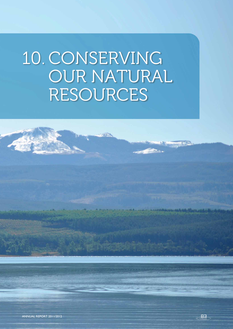# 10. CONSERVING OUR NATURAL RESOURCES

**TANKS** 

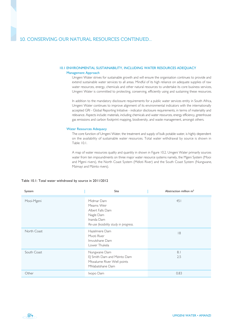#### 10.1 ENVIRONMENTAL SUSTAINABILITY, INCLUDING WATER RESOURCES ADEQUACY 10.1 ENVIRONMENTAL SUSTAINABILITY, INCLUDING WATER RESOURCES ADEQUACY

#### Management Approach

Umgeni Water strives for sustainable growth and will ensure the organisation continues to provide and extend sustainable water services to all areas. Mindful of its high reliance on adequate supplies of raw water resources, energy, chemicals and other natural resources to undertake its core business services, Umgeni Water is committed to protecting, conserving, efficiently using and sustaining these resources.

In addition to the mandatory disclosure requirements for a public water services entity in South Africa, Umgeni Water continues to improve alignment of its environmental indicators with the internationally accepted GRI - Global Reporting Initiative - indicator disclosure requirements, in terms of materiality and relevance. Aspects include: materials, including chemicals and water resources, energy efficiency, greenhouse gas emissions and carbon footprint mapping, biodiversity, and waste management, amongst others.

#### Water Resources Adequacy

The core function of Umgeni Water, the treatment and supply of bulk potable water, is highly dependent on the availability of sustainable water resources. Total water withdrawal by source is shown in Table 10.1.

A map of water resources quality and quantity in shown in Figure 10.2. Umgeni Water primarily sources water from ten impoundments on three major water resource systems namely, the Mgeni System (Mooi and Mgeni rivers), the North Coast System (Mdloti River) and the South Coast System (Nungwane, Mzimayi and Mzinto rivers).

#### Table 10.1: Total water withdrawal by source in 2011/2012

| System      | Site                                                                                                             | Abstraction million $m3$ |
|-------------|------------------------------------------------------------------------------------------------------------------|--------------------------|
| Mooi-Mgeni  | Midmar Dam<br>Meams Weir<br>Albert Falls Dam<br>Nagle Dam<br>Inanda Dam<br>Re-use feasibility study in progress. | 451                      |
| North Coast | Hazelmere Dam<br>Mvoti River<br>Imvutshane Dam<br>Lower Thukela                                                  | 8                        |
| South Coast | Nungwane Dam<br>EJ Smith Dam and Mzinto Dam<br>Mtwalume River Well points<br>Mhlabatshane Dam                    | 8.1<br>2.5               |
| Other       | Ixopo Dam                                                                                                        | 0.83                     |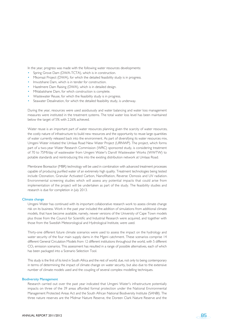In the year, progress was made with the following water resources developments:

- Spring Grove Dam (DWA-TCTA), which is in construction.
- Mkomazi Project (DWA), for which the detailed feasibility study is in progress.
- Imvutshane Dam, which is in tender for construction.
- Hazelmere Dam Raising (DWA), which is in detailed design.
- Mhlabatshane Dam, for which construction is complete.
- Wastewater Reuse, for which the feasibility study is in progress.
- Seawater Desalination, for which the detailed feasibility study, is underway.

During the year, resources were used assiduously and water balancing and water loss management measures were instituted in the treatment systems. The total water loss level has been maintained below the target of 5% with 2.26% achieved.

Water reuse is an important part of water resources planning given the scarcity of water resources, the costly nature of infrastructure to build new resources and the opportunity to reuse large quantities of water currently released back into the environment. As part of diversifying its water resources mix, Umgeni Water initiated the Umlaas Road New Water Project (URNWP). The project, which forms part of a two-year Water Research Commission (WRC) sponsored study, is considering treatment of 70 to 75Ml/day of wastewater from Umgeni Water's Darvill Wastewater Works (WWTW) to potable standards and reintroducing this into the existing distribution network at Umlaas Road.

Membrane Bioreactor (MBR) technology will be used in combination with advanced treatment processes capable of producing purified water of an extremely high quality. Treatment technologies being tested include Ozonation, Granular Activated Carbon, Nanofiltation, Reverse Osmosis and UV radiation. Environmental screening studies which will assess any potential impacts that could arise from implementation of the project will be undertaken as part of the study. The feasibility studies and research is due for completion in July 2013.

#### Climate change

Umgeni Water has continued with its important collaborative research work to assess climate change risk on its business. Work in the past year included the addition of simulations from additional climate models, that have become available, namely, newer versions of the University of Cape Town models plus those from the Council for Scientific and Industrial Research were acquired, and together with those from the Swedish Meteorological and Hydrological Institute, were used.

Thirty-one different future climate scenarios were used to assess the impact on the hydrology and water security of the four main supply dams in the Mgeni catchment. These scenarios comprise 14 different General Circulation Models from 12 different institutions throughout the world, with 5 different  $CO<sub>2</sub>$  emission scenarios. This assessment has resulted in a range of possible alternatives, each of which has been packaged into a Scenario Selection Tool.

This study is the first of its kind in South Africa and the rest of world, due, not only to being contemporary in terms of determining the impact of climate change on water security, but also due to the extensive number of climate models used and the coupling of several complex modelling techniques.

#### Biodiversity Management

Research carried out over the past year indicated that Umgeni Water's infrastructure potentially impacts on three of the 39 areas afforded formal protection under the National Environmental Management Protected Areas Act and the South African National Biodiversity Institute (SANBI). The three nature reserves are the Midmar Nature Reserve, the Doreen Clark Nature Reserve and the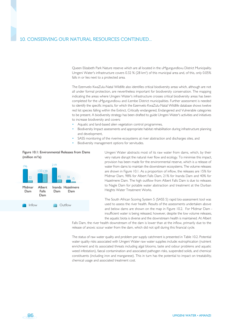Queen Elizabeth Park Nature reserve which are all located in the uMgungundlovu District Municipality. Umgeni Water's infrastructure covers 0.32 % (28 km²) of this municipal area and, of this, only 0.05% falls in or lies next to a protected area.

The Ezemvelo KwaZulu-Natal Wildlife also identifies critical biodiversity areas which, although are not all under formal protection, are nevertheless important for biodiversity conservation. The mapping indicating the areas where Umgeni Water's infrastructure crosses critical biodiversity areas has been completed for the uMgungundlovu and iLembe District municipalities. Further assessment is needed to identify the specific impacts, for which the Ezemvelo KwaZulu-Natal Wildlife database shows twelve red list species falling within the Extinct, Critically endangered, Endangered and Vulnerable categories to be present. A biodiversity strategy has been drafted to guide Umgeni Water's activities and initiatives to increase biodiversity and covers:

- Aquatic and land-based alien vegetation control programmes,
- Biodiversity Impact assessments and appropriate habitat rehabilitation during infrastructure planning and development,
- SASS monitoring of the riverine ecosystems at river abstraction and discharges sites, and
- Biodiversity management options for servitudes.

# Figure 10.1: Environmental Releases from Dams (million m3 /a)



86

Umgeni Water abstracts most of its raw water from dams, which, by their very nature disrupt the natural river flow and ecology. To minimise this impact, provision has been made for the environmental reserve, which is a release of water from dams to maintain the downstream ecosystems. The volume releases are shown in Figure 10.1. As a proportion of inflow, the releases are 15% for Midmar Dam, 98% for Albert Falls Dam, 21% for Inanda Dam and 40% for Hazelmere Dam. The high outflow from Albert Falls Dam is due to releases to Nagle Dam for potable water abstraction and treatment at the Durban Heights Water Treatment Works.

The South African Scoring System 5 (SASS 5) rapid bio-assessment tool was used to assess the river health. Results of the assessments undertaken above and below dams are shown on the map in Figure 10.2. For Midmar Dam insufficient water is being released, however, despite the low volume releases, the aquatic biota is diverse and the downstream health is maintained. At Albert

Falls Dam, the river health downstream of the dam is lower than at the inflow, primarily due to the release of anoxic scour water from the dam, which did not spill during this financial cycle.

The status of raw water quality and problem per supply catchment is presented in Table 10.2. Potential water quality risks associated with Umgeni Water raw water supplies include: eutrophication (nutrient enrichment and its associated threats including algal blooms, taste and odour problems and aquatic weed infestation), faecal contamination and associated pathogen risks, suspended solids, and chemical constituents (including iron and manganese). This in turn has the potential to impact on treatability, chemical usage and associated treatment cost.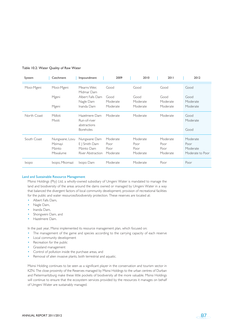| System       | Catchment                                       | Impoundment                                                       | 2009                                 | 2010                                 | 2011                                 | 2012                                             |
|--------------|-------------------------------------------------|-------------------------------------------------------------------|--------------------------------------|--------------------------------------|--------------------------------------|--------------------------------------------------|
| Mooi-Mgeni   | Mooi-Mgeni                                      | Mearns Weir.<br>Midmar Dam                                        | Good                                 | Good                                 | Good                                 | Good                                             |
|              | Mgeni                                           | Albert Falls Dam<br>Nagle Dam                                     | Good<br>Moderate                     | Good<br>Moderate                     | Good<br>Moderate                     | Good<br>Moderate                                 |
|              | Mgeni                                           | Inanda Dam                                                        | Moderate                             | Moderate                             | Moderate                             | Moderate                                         |
| North Coast  | Mdloti<br>Mvoti                                 | Hazelmere Dam<br>Run-of-river<br>abstractions<br><b>Boreholes</b> | Moderate                             | Moderate                             | Moderate                             | Good<br>Moderate<br>Good                         |
| South Coast  | Nungwane, Lovu<br>Mzimayi<br>Mzinto<br>Mtwalume | Nungwane Dam<br>E   Smith Dam<br>Mzinto Dam<br>River Abstraction  | Moderate<br>Poor<br>Poor<br>Moderate | Moderate<br>Poor<br>Poor<br>Moderate | Moderate<br>Poor<br>Poor<br>Moderate | Moderate<br>Poor<br>Moderate<br>Moderate to Poor |
| <b>Ixopo</b> | Ixopo, Mkomazi                                  | Ixopo Dam                                                         | Moderate                             | Moderate                             | Poor                                 | Poor                                             |

## Table 10.2: Water Quality of Raw Water

#### Land and Sustainable Resource Management

Msinsi Holdings (Pty) Ltd, a wholly-owned subsidiary of Umgeni Water is mandated to manage the land and biodiversity of the areas around the dams owned or managed by Umgeni Water in a way that balanced the divergent factors of local community development, provision of recreational facilities for the public and water resources/biodiversity protection. These reserves are located at:

- Albert Falls Dam,
- Nagle Dam,
- Inanda Dam,
- Shongweni Dam, and
- Hazelmere Dam.

In the past year, Msinsi implemented its resource management plan, which focused on:

- The management of the game and species according to the carrying capacity of each reserve
- Local community development
- Recreation for the public
- Grassland management
- Control of pollution inside the purchase areas, and
- Removal of alien invasive plants, both terrestrial and aquatic.

Msinsi Holding continues to be seen as a significant player in the conservation and tourism sector in KZN. The close proximity of the Reserves managed by Msinsi Holdings to the urban centres of Durban and Pietermaritzburg make these little pockets of biodiversity all the more valuable. Msinsi Holdings will continue to ensure that the ecosystem services provided by the resources it manages on behalf of Umgeni Water are sustainably managed.

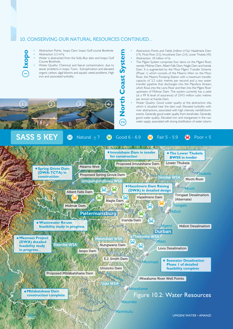- Abstraction Points Ixopo Dam. Ixopo Golf-course Borehole • Abstraction 2.3 m<sup>3</sup>/a **Ixopo**
	- Water is abstracted from the Solly-Bux dam and Ixopo Golf Course Borehole.
	- Water Quality: Chemical and faecal contamination, due to sewer problems in Ixopo Town. Eutrophication and elevated organic carbon, algal blooms and aquatic weed problems. High iron and associated turbidity.
- **North Coast System** North Coast Syster
- Abstraction Points and Yields (million m<sup>3</sup>/a): Hazelmere Dam (19), Mvoti River (3.3), Imvutshane Dam (2.4), Lower Thukela (45) • Abstraction: 18 million  $m^3/a$
- The Mgeni System comprises four dams on the Mgeni River, namely Midmar Dam, Albert Falls Dam, Nagle Dam and Inanda Dam. It is augmented by the Mooi Mgeni Transfer Scheme (Phase 1) which consists of the Mearns Weir on the Mooi River, the Mearns Pumping Station with a maximum transfer capacity of 3.2 cubic metres per second and a raw water transfer pipeline that discharges into the Mpofana Stream, which flows into the Lions River and then into the Mgeni River upstream of Midmar Dam. The system currently has a yield (at a 99 % level of assurance) of 334.5 million cubic metres per annum at Inanda Dam.
- Water Quality: Good water quality at the abstraction site, which is situated near the dam wall. Elevated turbidity with river abstractions, associated with high intensity rainfall/storm events. Generally good water quality from boreholes. Generally good water quality. Elevated iron and manganese in the raw water supply, associated with strong stratification of water column.



\_\_

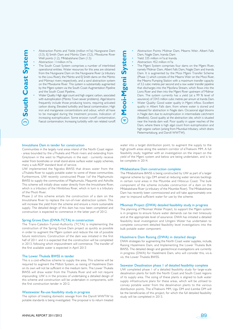- Abstraction Points and Yields (million m<sup>3</sup>/a): Nungwane Dam (3.3), EJ Smith Dam and Mzinto Dam (3.2), Mtwalume River Well points (1.2), Mhlabatshane Dam (1.5)
- Abstraction: I I million m<sup>3</sup>/a.

#### The South Coast System comprises a number of interlinked operational entities. Water resources for this area are obtained from the Nungwane Dam on the Nungwane River (a tributary to the Lovu River), the Mzinto and EJ Smith dams on the Mzinto and Mzimayi rivers respectively, and a sand abstraction system on the Mtwalume River. This system is substantially augmented by the Mgeni system via the South Coast Augmentation Pipeline and the South Coast Pipeline..

• Water Quality: High algal count and high organic carbon, associated with eutrophication (Mzinto Town sewer problems). Algal blooms frequently include those producing toxins, requiring activated carbon dosing. Elevated turbidity and faecal contamination. High iron and manganese concentrations and odour, which all have to be managed during the treatment process. Indication of increasing eutrophication. Some erosion runoff contamination. Faecal contamination. Increasing turbidity with rain related runoff.

- Abstraction Points: Midmar Dam, Mearns Weir, Albert Falls Dam, Nagle Dam, Inanda Dam
- Yield: 335 million  $m^3/a$  at Inanda.
- Abstraction:  $452$  million m<sup>3</sup>/a.

**Mooi-Mgeni System**

4

- The Mgeni System comprises four dams on the Mgeni River, namely Midmar Dam, Albert Falls Dam, Nagle Dam and Inanda Dam. It is augmented by the Mooi Mgeni Transfer Scheme (Phase 1) which consists of the Mearns Weir on the Mooi River, the Mearns Pumping Station with a maximum transfer capacity of 3.2 cubic metres per second and a raw water transfer pipeline that discharges into the Mpofana Stream, which flows into the Lions River and then into the Mgeni River upstream of Midmar Dam. The system currently has a yield (at a 99 % level of assurance) of 334.5 million cubic metres per annum at Inanda Dam. • Water Quality: Good water quality in Mgeni inflow. Excellent
- quality in Albert Falls dam, from where water is stored and released for abstraction in Nagle dam. Occasional algal blooms in Nagle dam due to eutrophication in intermediate catchment (feedlots). Good quality at the abstraction site, which is situated near the Inanda dam wall. Poor quality in upper reaches of the Dam, where there is high algal count from eutrophication and high organic carbon (arising from Msunduzi tributary, which drains Pietermaritzburg, and Darvill WWTW).

### Imvutshane Dam in tender for construction

Communities in the largely rural areas inland of the North Coast region - areas bounded by the uThukela and Mvoti rivers and extending from Greytown in the west to Maphumulo in the east - currently receive water from boreholes or small stand-alone surface water supply schemes, many a sub-RDP standard level of service.

UW implemented the Ngcebo BWSS that draws water from the uThukela River to supply potable water to some of these communities. Furthermore, UW recently constructed Phase 1of the Maphumulo BWSS to supply the communities of Maphumulo, Maqumbi and Ashville. This scheme will initially draw water directly from the Imvutshane River, which is a tributary of the Hlimbitwa River, which in turn is a tributary of the Mvoti River.

Phase 2 of this scheme entails the construction of a dam on the Imvutshane River to replace the run-of-river abstraction system. This will increase the yield from the scheme and ensure a more sustainable supply. The detailed design of this dam has now been completed and construction is expected to commence in the latter part of 2012.

#### Spring Grove Dam (DWA-TCTA) in construction

The Trans-Caledon-Tunnel-Authority (TCTA) is implementing the construction of the Spring Grove Dam project as quickly as possible in order to augment the Mgeni system and reduce the risk of possible future restrictions. Construction of the dam was initiated in the first half of 2011 and it is expected that the construction will be completed in 2013, following which impoundment will commence. The transfer of the first available water is expected in April 2013

#### The Lower Thukela BWSS in tender

This is a cost-effective scheme to supply the area. This scheme will be required to augment the Mdloti System, as raising of Hazelmere Dam on its own will not be sufficient in the medium term. The Lower Thukela BWSS will draw water from the Thukela River and will not require impounding. UW is in the process of undertaking a detailed design of this scheme and construction will be undertaken in components, with the first construction tender in 2012.

#### Wastewater Re-use feasibility study in progress

The option of treating domestic sewage from the Darvill WWTW to potable standards is being investigated. The proposal is to return treated water into a target distribution point, to augment the supply to the high growth areas along the western corridor of eThekwini MM. A full feasibility study, together with an investigatiion on the impact on the yield of the Mgeni system and below are being undertaken, and is to be complete in 2014.

#### Mhlabatshane Dam construction complete

The Mhlabatshane BWSS is being constructed by UW as part of a larger regional scheme by Ugu DM aimed at reducing water services backlogs in certain rural areas in the Mzumbe and Hibiscus Coast. The bulk component of the scheme includes construction of a dam on the Mhlabatshane River (a tributary of the Mzumbe River). The Mhlabatshane Dam has recently been commissioned and will take approximately one year to impound sufficient water for use by the scheme.

#### Mkomazi Project (DWA) detailed feasibility study in progress

The planning of Mkomazi Water Project, to support the Mgeni system is in progress to ensure future water demands can be met timeously and at the appropriate level of assurance. DWA has initiated a detailed feasibility level investigation and Umgeni Water has undertaken to complete concurrent detailed feasibility level investigations into the bulk potable water component.

# Hazelmere Dam Raising (DWA) in detailed design

DWA strategies for augmenting the North Coast water supplies, include, Raising Hazelmere Dam, and Implementing the Lower Thukela Bulk BWSS. The detailed design and geotechnical investigations are currently in progress (DWA) for Hazelmere Dam, who will consider this, vis-àvis, the Lower Thukela BWSS.

#### Seawater Desalination phase 1 of detailed feasibility complete

UW completed phase 1 of a detailed feasibility study for large-scale desalination plants for both the North Coast and South Coast regions of its supply area. The sizing of these plants is aligned to bulk water supply infrastructure plans for these areas, which will be utilised to convey potable water from the desalination plants to the various distribution points. The eThekwini MM, Ugu DM and iLembe DM will be the beneficiaries of this project, for which the full detailed feasibility study will be completed in 2013.

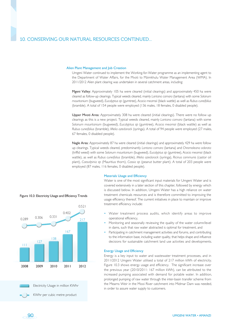#### Alien Plant Management and Job Creation

Umgeni Water continued to implement the Working-for-Water programme as an implementing agent to the Department of Water Affairs, for the Mvoti to Mzimkhulu Water Management Area (WMA). In 2011/2012 Alien plant clearing was undertaken in several catchment areas, including:

Mgeni Valley: Approximately 105 ha were cleared (initial clearings) and approximately 450 ha were cleared as follow-up clearings. Typical weeds cleared, mainly *Lantana camara* (lantana) with some *Solanum mauritanium* (bugweed), *Eucalyptus sp* (gumtree), *Acacia mearnsii* (black wattle) as well as *Rubus cuneifolius* (bramble). A total of 154 people were employed (136 males, 18 females, 0 disabled people).

Upper Mvoti Area: Approximately 308 ha were cleared (initial clearings). There were no follow up clearings as this is a new project. Typical weeds cleared, mainly *Lantana camara* (lantana) with some *Solanum mauritanium* (bugweed), *Eucalyptus sp* (gumtree), *Acacia mearnsii* (black wattle) as well as *Rubus cuneifolius* (bramble), *Melia azedarack* (syringa). A total of 94 people were employed (27 males, 67 females, 0 disabled people).

Nagle Area: Approximately 87 ha were cleared (initial clearings) and approximately 429 ha were follow up clearings. Typical weeds cleared, predominantly *Lantana camara* (lantana) and *Chromoleana odorata* (triffid weed) with some *Solanum mauritanium* (bugweed), *Eucalyptus sp* (gumtree), *Acacia mearnsii* (black wattle), as well as *Rubus cuneifolius* (bramble), *Melia azedarack* (syringa), *Ricinus communis* (castor oil plant), *Caesalpinia sp* (Mauritius thorn), *Cassia sp* (peanut butter plant). A total of 203 people were employed (87 males, 116 females, 0 disabled people).



## Figure 10.3: Electricity Usage and Efficiency Trends

## Materials Usage and Efficiency

Water is one of the most significant input materials for Umgeni Water and is covered extensively in a later section of this chapter, followed by energy which is discussed below. In addition, Umgeni Water has a high reliance on water treatment chemicals resources and is therefore committed to improving the usage efficiency thereof. The current initiatives in place to maintain or improve treatment efficiency include:

- Water treatment process audits, which identify areas to improve operational efficiency,
- Monitoring and seasonally reviewing the quality of the water column/level in dams, such that raw water abstracted is optimal for treatment, and
- Participating in catchment management activities and forums, and contributing to the information base, including water quality, that helps shape and influence decisions for sustainable catchment land use activities and developments.

# Energy Usage and Efficiency

Energy is a key input to water and wastewater treatment processes, and in 2011/2012 Umgeni Water utilised a total of 217 million kWh of electricity. Figure 10.3 shows energy usage and efficiency. The significant increase over the previous year (2010/2011: 167 million kWh), can be attributed to the increased pumping associated with demand for potable water. In addition, prolonged pumping of raw water through the inter-basin transfer scheme from the Mearns Weir in the Mooi River catchment into Midmar Dam was needed, in order to assure water supply to customers.

Electricity Usage in million KWhr KWhr per cubic metre product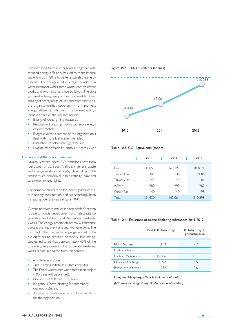This increasing trend in energy usage together with reduced energy efficiency has led to more intense auditing in 2011/2012 to better establish the energy baseline. The energy audit coverage included ten water treatment works, three wastewater treatment works and two regional office buildings. The data gathered is being analysed and will enable closer scrutiny of energy usage of unit processes and where the organisation has opportunity to implement energy efficiency initiatives. The current energy initiatives have continued and include:

- Energy efficient lighting measures,
- Replacement of pump motors with more energy efficient motors,
- Progressive replacement of the organisation's fleet with more fuel efficient vehicles,
- Installation of solar water geysers, and
- Hydroelectric feasibility study at Mearns Weir.

## Emissions and Reduction Initiatives

Umgeni Water's direct CO<sub>2</sub> emissions arise from fuel usage for transport (vehicles), general waste and from generators and boats, while indirect CO<sub>2</sub> emissions are primarily due to electricity usage and to a minor extent flights.

The organisation's carbon footprint is primarily due to electricity consumption, and has accordingly been increasing over the years (Figure 10.4).

Current initiatives to reduce the organisation's carbon footprint include development of an electricity cogeneration plant at the Darvill Wastewater Treatment Works. The energy generation system will comprise a biogas pre-treatment unit and two generators. The plant will utilise the methane gas generated in the bio-digesters to produce electricity. Preliminary studies indicated that approximately 40% of the total energy requirement of the wastewater treatment works can be generated from this source.

Other initiatives include:

- Tree planting initiatives (5 trees per site), The Darvill wastewater works forestation project
- (100 trees will be planted),
- Donation of 400 trees to schools,
- Indigenous forest planting for community outreach (55), and
- A more comprehensive carbon footprint study for the organisation.





#### Table 10.3: CO<sub>2</sub> Equivalents (tonnes)

|             | 2010    | 2011    | 2012    |
|-------------|---------|---------|---------|
|             |         |         |         |
| Electricity | 131,851 | 163,392 | 208,071 |
| Travel: Car | 1,407   | 1,334   | 2,086   |
| Travel: Air | 143     | 143     | 81      |
| Waste       | 989     | 299     | 262     |
| Other fuel  | 40      | 40      | 98      |
| Total       | 134.430 | 165,064 | 210.598 |

#### Table 10.4: Emissions of ozone depleting substances 2011/2012

|                    | Vehicle Emissions (kg) | Emissions (kg)/kl<br>product/million |  |  |  |
|--------------------|------------------------|--------------------------------------|--|--|--|
|                    |                        |                                      |  |  |  |
| Non Methane        | 1.119                  | 2.7                                  |  |  |  |
| Hydrocarbons       |                        |                                      |  |  |  |
| Carbon Monoxide    | 15.806                 | 38.1                                 |  |  |  |
| Oxides of Nitrogen | 2.697                  | 6.5                                  |  |  |  |
| Particulate Matter | 252                    | 0.6                                  |  |  |  |

*Using the Albuquerque Vehicle Pollution Calculator (http://www.cabq.gov/airquality/vehiclepollution.html)*

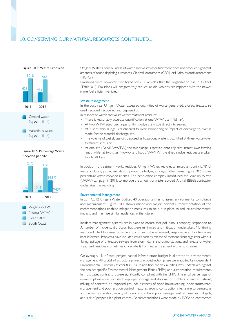Figure 10.5: Waste Produced



# Figure 10.6: Percentage Waste Recycled per site



Umgeni Water's core business of water and wastewater treatment does not produce significant amounts of ozone depleting substances, Chlorofluorocarbons (CFCs) or Hydro-chlorofluorocarbons (HCFCs).

Emissions were however monitored for 207 vehicles that the organisation has in its fleet (Table10.4). Emissions will progressively reduce, as old vehicles are replaced with the newer more fuel efficient vehicles.

## Waste Management

In the past year Umgeni Water assessed quantities of waste generated, stored, treated, reused, recycled, recovered and disposed of.

In respect of water and wastewater treatment residues:

- There is reasonably accurate quantification at one WTW site (Midmar),
- At two WTW sites, discharges of thin sludge are made directly to sewer,
- At 7 sites, thin sludge is discharged to river. Monitoring of impact of discharge to river is made for the material discharge site,
- The volume of wet sludge oils disposed as hazardous waste is quantified at three wastewater treatment sites, and
- At one site (Darvill WWTW) the thin sludge is sprayed onto adjacent instant lawn farming lands, whilst at two sites (Howick and Ixopo WWTW) the dried sludge residues are taken to a landfill site.

In addition to treatment works residues, Umgeni Water, recycles a limited amount (1.7%) of waste: including paper, metals and printer cartridges, amongst other items. Figure 10.6 shows percentage waste recycled at sites. The head-office complex introduced the War on Waste (WOW) campaign in 2011, to improve the amount of waste recycled. A small BBBEE contractor undertakes this recycling.

#### Environmental Management

In 2011/2012 Umgeni Water audited 40 operational sites to assess environmental compliance and management. Figure 10.7 shows minor and major incidents. Implementation of the recommendations enabled mitigation measures to be put in place to reduce environmental impacts and minimise similar incidences in the future.

Incident management systems are in place to ensure that pollution is properly responded to. A number of incidents did occur, but were minimised and mitigation undertaken. Monitoring was conducted to assess possible impacts, and where relevant, responsible authorities were kept informed. Problems have included issues such as release of methane from digesters without flaring, spillage of untreated sewage from storm dams and pump stations, and release of water treatment residues (sometimes chlorinated) from water treatment works to streams.

On average, 1% of total project capital infrastructure budget is allocated to environmental management. All capital infrastructure projects in construction phase were audited by independent Environmental Control Officers (ECOs). In addition, weekly auditing was undertaken against the project specific Environmental Management Plans (EMPs) and authorisation requirements. In most cases contractors were significantly compliant with the EMPs. The small percentage of non-compliant areas included: Improper storage and disposal of rubble and waste material; mixing of concrete on exposed ground; instances of poor housekeeping; poor stormwater management and poor erosion control measures around construction site; failure to demarcate and protect excavation; mixing of topsoil and subsoil; poor management of diesel and oil spills; and lack of proper alien plant control. Recommendations were made by ECOs to contractors

92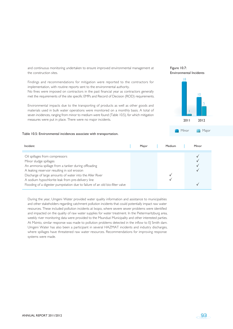and continuous monitoring undertaken to ensure improved environmental management at the construction sites.

Findings and recommendations for mitigation were reported to the contractors for implementation, with routine reports sent to the environmental authority.

No fines were imposed on contractors in the past financial year as contractors generally met the requirements of the site specific EMPs and Record of Decision (ROD) requirements.

Environmental impacts due to the transporting of products as well as other goods and materials used in bulk water operations were monitored on a monthly basis. A total of seven incidences, ranging from minor to medium were found (Table 10.5), for which mitigation measures were put in place. There were no major incidents.



Minor **Major** 

Figure 10.7:

#### Table 10.5: Environmental incidences associate with transportation.

| Incident                                                                     | Major | Medium | Minor |
|------------------------------------------------------------------------------|-------|--------|-------|
|                                                                              |       |        |       |
| Oil spillages from compressors                                               |       |        |       |
| Minor sludge spillages                                                       |       |        |       |
| An ammonia spillage from a tanker during offloading                          |       |        |       |
| A leaking reservoir resulting in soil erosion                                |       |        |       |
| Discharge of large amounts of water into the Aller River                     |       |        |       |
| A sodium hypochlorite leak from pre-delivery line                            |       |        |       |
| Flooding of a digester pumpstation due to failure of an old bio-filter valve |       |        |       |

During the year, Umgeni Water provided water quality information and assistance to municipalities and other stakeholders regarding catchment pollution incidents that could potentially impact raw water resources. These included pollution incidents at Ixopo, where severe sewer problems were identified and impacted on the quality of raw water supplies for water treatment. In the Pietermaritzburg area, weekly river monitoring data were provided to the Msunduzi Municipality and other interested parties. At Mzinto, similar response was made to pollution problems detected in the inflow to E| Smith dam. Umgeni Water has also been a participant in several HAZMAT incidents and industry discharges, where spillages have threatened raw water resources. Recommendations for improving response systems were made.